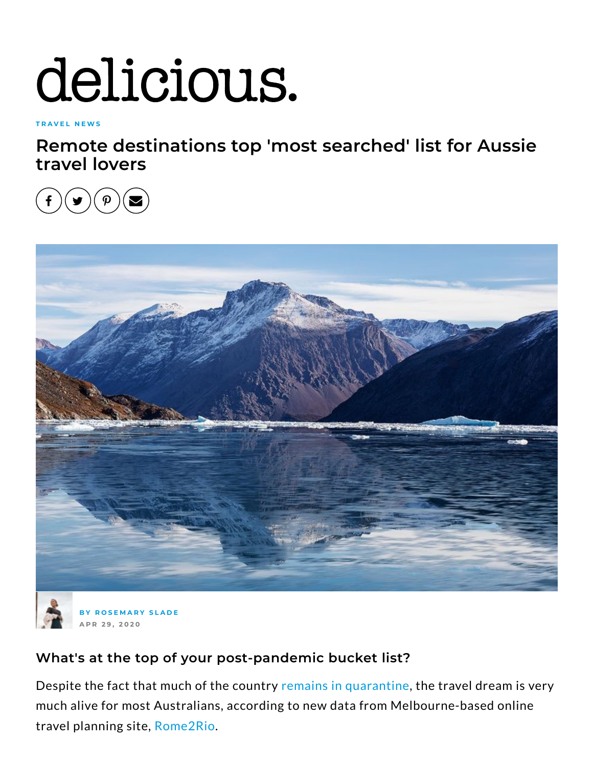## delicious.

**T R A V E L N E [W](https://www.delicious.com.au/travel/travel-news) S**

**Remote destinations top 'most searched' list for Aussie travel lovers**





**B Y R O S E [M](https://www.delicious.com.au/people-events/people/rosemary-slade/c8lky6yh) A R Y S L A D E A P R 2 9 , 2 0 2 0**

## **What's at the top of your post-pandemic bucket list?**

Despite the fact that much of the country remains in [quarantine](https://www.delicious.com.au/eat-out/article/coronavirus-nsw-relax-social-restrictions/a91524i9), the travel dream is very much alive for most Australians, according to new data from Melbourne-based online travel planning site, [Rome2Rio](https://www.rome2rio.com/).